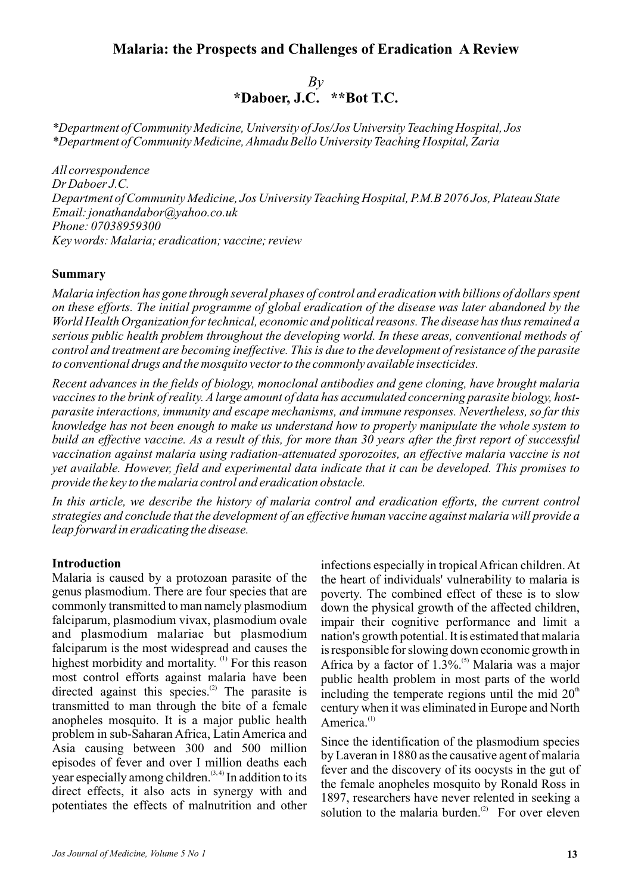*By* **\*Daboer, J.C. \*\*Bot T.C.**

*\*Department of Community Medicine, University of Jos/Jos University Teaching Hospital, Jos \*Department of Community Medicine, Ahmadu Bello University Teaching Hospital, Zaria*

*All correspondence Dr Daboer J.C. Department of Community Medicine, Jos University Teaching Hospital, P.M.B 2076 Jos, Plateau State Email: jonathandabor@yahoo.co.uk Phone: 07038959300 Key words: Malaria; eradication; vaccine; review*

# **Summary**

*Malaria infection has gone through several phases of control and eradication with billions of dollars spent on these efforts. The initial programme of global eradication of the disease was later abandoned by the World Health Organization for technical, economic and political reasons. The disease has thus remained a serious public health problem throughout the developing world. In these areas, conventional methods of control and treatment are becoming ineffective. This is due to the development of resistance of the parasite to conventional drugs and the mosquito vector to the commonly available insecticides.* 

*Recent advances in the fields of biology, monoclonal antibodies and gene cloning, have brought malaria vaccines to the brink of reality. Alarge amount of data has accumulated concerning parasite biology, hostparasite interactions, immunity and escape mechanisms, and immune responses. Nevertheless, so far this knowledge has not been enough to make us understand how to properly manipulate the whole system to build an effective vaccine. As a result of this, for more than 30 years after the first report of successful vaccination against malaria using radiation-attenuated sporozoites, an effective malaria vaccine is not yet available. However, field and experimental data indicate that it can be developed. This promises to provide the key to the malaria control and eradication obstacle.*

*In this article, we describe the history of malaria control and eradication efforts, the current control strategies and conclude that the development of an effective human vaccine against malaria will provide a leap forward in eradicating the disease.*

# **Introduction**

Malaria is caused by a protozoan parasite of the genus plasmodium. There are four species that are commonly transmitted to man namely plasmodium falciparum, plasmodium vivax, plasmodium ovale and plasmodium malariae but plasmodium falciparum is the most widespread and causes the highest morbidity and mortality. <sup>(1)</sup> For this reason most control efforts against malaria have been directed against this species. $^{(2)}$  The parasite is transmitted to man through the bite of a female anopheles mosquito. It is a major public health problem in sub-Saharan Africa, Latin America and Asia causing between 300 and 500 million episodes of fever and over I million deaths each year especially among children.<sup>(3, 4)</sup> In addition to its direct effects, it also acts in synergy with and potentiates the effects of malnutrition and other

infections especially in tropical African children. At the heart of individuals' vulnerability to malaria is poverty. The combined effect of these is to slow down the physical growth of the affected children, impair their cognitive performance and limit a nation's growth potential. It is estimated that malaria is responsible for slowing down economic growth in Africa by a factor of  $1.3\%$ .<sup>(5)</sup> Malaria was a major public health problem in most parts of the world including the temperate regions until the mid  $20<sup>th</sup>$ century when it was eliminated in Europe and North America.<sup>(1)</sup>

Since the identification of the plasmodium species by Laveran in 1880 as the causative agent of malaria fever and the discovery of its oocysts in the gut of the female anopheles mosquito by Ronald Ross in 1897, researchers have never relented in seeking a solution to the malaria burden. $^{(2)}$  For over eleven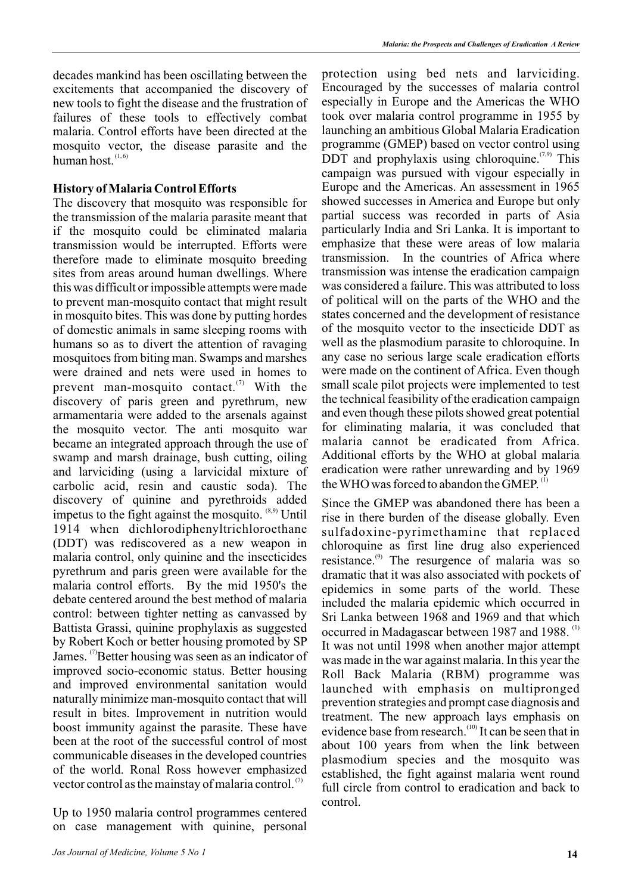decades mankind has been oscillating between the excitements that accompanied the discovery of new tools to fight the disease and the frustration of failures of these tools to effectively combat malaria. Control efforts have been directed at the mosquito vector, the disease parasite and the human host.<sup>(1,6)</sup>

#### **History of Malaria Control Efforts**

The discovery that mosquito was responsible for the transmission of the malaria parasite meant that if the mosquito could be eliminated malaria transmission would be interrupted. Efforts were therefore made to eliminate mosquito breeding sites from areas around human dwellings. Where this was difficult or impossible attempts were made to prevent man-mosquito contact that might result in mosquito bites. This was done by putting hordes of domestic animals in same sleeping rooms with humans so as to divert the attention of ravaging mosquitoes from biting man. Swamps and marshes were drained and nets were used in homes to prevent man-mosquito contact.<sup>(7)</sup> With the discovery of paris green and pyrethrum, new armamentaria were added to the arsenals against the mosquito vector. The anti mosquito war became an integrated approach through the use of swamp and marsh drainage, bush cutting, oiling and larviciding (using a larvicidal mixture of carbolic acid, resin and caustic soda). The discovery of quinine and pyrethroids added impetus to the fight against the mosquito.  $^{(8,9)}$  Until 1914 when dichlorodiphenyltrichloroethane (DDT) was rediscovered as a new weapon in malaria control, only quinine and the insecticides pyrethrum and paris green were available for the malaria control efforts. By the mid 1950's the debate centered around the best method of malaria control: between tighter netting as canvassed by Battista Grassi, quinine prophylaxis as suggested by Robert Koch or better housing promoted by SP James.  $\sigma$ Better housing was seen as an indicator of improved socio-economic status. Better housing and improved environmental sanitation would naturally minimize man-mosquito contact that will result in bites. Improvement in nutrition would boost immunity against the parasite. These have been at the root of the successful control of most communicable diseases in the developed countries of the world. Ronal Ross however emphasized vector control as the mainstay of malaria control. $(7)$ 

Up to 1950 malaria control programmes centered on case management with quinine, personal

protection using bed nets and larviciding. Encouraged by the successes of malaria control especially in Europe and the Americas the WHO took over malaria control programme in 1955 by launching an ambitious Global Malaria Eradication programme (GMEP) based on vector control using DDT and prophylaxis using chloroquine.<sup> $(7,9)$ </sup> This campaign was pursued with vigour especially in Europe and the Americas. An assessment in 1965 showed successes in America and Europe but only partial success was recorded in parts of Asia particularly India and Sri Lanka. It is important to emphasize that these were areas of low malaria transmission. In the countries of Africa where transmission was intense the eradication campaign was considered a failure. This was attributed to loss of political will on the parts of the WHO and the states concerned and the development of resistance of the mosquito vector to the insecticide DDT as well as the plasmodium parasite to chloroquine. In any case no serious large scale eradication efforts were made on the continent of Africa. Even though small scale pilot projects were implemented to test the technical feasibility of the eradication campaign and even though these pilots showed great potential for eliminating malaria, it was concluded that malaria cannot be eradicated from Africa. Additional efforts by the WHO at global malaria eradication were rather unrewarding and by 1969 the WHO was forced to abandon the GMEP.<sup>(1)</sup>

Since the GMEP was abandoned there has been a rise in there burden of the disease globally. Even sulfadoxine-pyrimethamine that replaced chloroquine as first line drug also experienced resistance.<sup>(9)</sup> The resurgence of malaria was so dramatic that it was also associated with pockets of epidemics in some parts of the world. These included the malaria epidemic which occurred in Sri Lanka between 1968 and 1969 and that which occurred in Madagascar between 1987 and 1988.<sup>(1)</sup> It was not until 1998 when another major attempt was made in the war against malaria. In this year the Roll Back Malaria (RBM) programme was launched with emphasis on multipronged prevention strategies and prompt case diagnosis and treatment. The new approach lays emphasis on evidence base from research.<sup>(10)</sup> It can be seen that in about 100 years from when the link between plasmodium species and the mosquito was established, the fight against malaria went round full circle from control to eradication and back to control.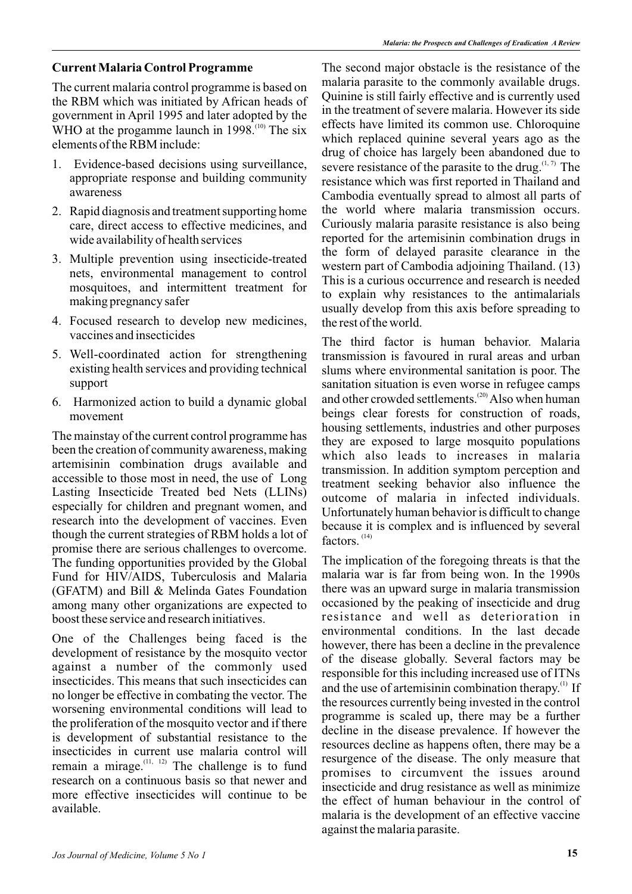# **Current Malaria Control Programme**

The current malaria control programme is based on the RBM which was initiated by African heads of government in April 1995 and later adopted by the WHO at the progamme launch in  $1998$ . <sup>(10)</sup> The six elements of the RBM include:

- 1. Evidence-based decisions using surveillance, appropriate response and building community awareness
- 2. Rapid diagnosis and treatment supporting home care, direct access to effective medicines, and wide availability of health services
- 3. Multiple prevention using insecticide-treated nets, environmental management to control mosquitoes, and intermittent treatment for making pregnancy safer
- 4. Focused research to develop new medicines, vaccines and insecticides
- 5. Well-coordinated action for strengthening existing health services and providing technical support
- 6. Harmonized action to build a dynamic global movement

The mainstay of the current control programme has been the creation of community awareness, making artemisinin combination drugs available and accessible to those most in need, the use of Long Lasting Insecticide Treated bed Nets (LLINs) especially for children and pregnant women, and research into the development of vaccines. Even though the current strategies of RBM holds a lot of promise there are serious challenges to overcome. The funding opportunities provided by the Global Fund for HIV/AIDS, Tuberculosis and Malaria (GFATM) and Bill & Melinda Gates Foundation among many other organizations are expected to boost these service and research initiatives.

One of the Challenges being faced is the development of resistance by the mosquito vector against a number of the commonly used insecticides. This means that such insecticides can no longer be effective in combating the vector. The worsening environmental conditions will lead to the proliferation of the mosquito vector and if there is development of substantial resistance to the insecticides in current use malaria control will remain a mirage.  $(11, 12)$  The challenge is to fund research on a continuous basis so that newer and more effective insecticides will continue to be available.

The second major obstacle is the resistance of the malaria parasite to the commonly available drugs. Quinine is still fairly effective and is currently used in the treatment of severe malaria. However its side effects have limited its common use. Chloroquine which replaced quinine several years ago as the drug of choice has largely been abandoned due to severe resistance of the parasite to the drug.  $(1, 7)$  The resistance which was first reported in Thailand and Cambodia eventually spread to almost all parts of the world where malaria transmission occurs. Curiously malaria parasite resistance is also being reported for the artemisinin combination drugs in the form of delayed parasite clearance in the western part of Cambodia adjoining Thailand. (13) This is a curious occurrence and research is needed to explain why resistances to the antimalarials usually develop from this axis before spreading to the rest of the world.

The third factor is human behavior. Malaria transmission is favoured in rural areas and urban slums where environmental sanitation is poor. The sanitation situation is even worse in refugee camps and other crowded settlements.<sup>(20)</sup> Also when human beings clear forests for construction of roads, housing settlements, industries and other purposes they are exposed to large mosquito populations which also leads to increases in malaria transmission. In addition symptom perception and treatment seeking behavior also influence the outcome of malaria in infected individuals. Unfortunately human behavior is difficult to change because it is complex and is influenced by several factors.<sup>(14)</sup>

The implication of the foregoing threats is that the malaria war is far from being won. In the 1990s there was an upward surge in malaria transmission occasioned by the peaking of insecticide and drug resistance and well as deterioration in environmental conditions. In the last decade however, there has been a decline in the prevalence of the disease globally. Several factors may be responsible for this including increased use of ITNs and the use of artemisinin combination therapy. $^{(1)}$  If the resources currently being invested in the control programme is scaled up, there may be a further decline in the disease prevalence. If however the resources decline as happens often, there may be a resurgence of the disease. The only measure that promises to circumvent the issues around insecticide and drug resistance as well as minimize the effect of human behaviour in the control of malaria is the development of an effective vaccine against the malaria parasite.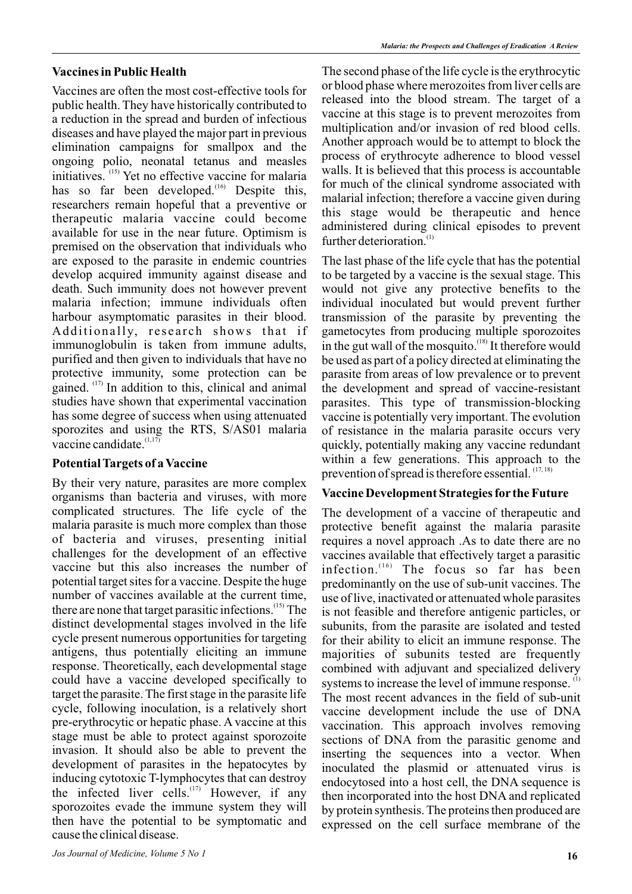# **Vaccines in Public Health**

Vaccines are often the most cost-effective tools for public health. They have historically contributed to a reduction in the spread and burden of infectious diseases and have played the major part in previous elimination campaigns for smallpox and the ongoing polio, neonatal tetanus and measles initiatives.  $^{(15)}$  Yet no effective vaccine for malaria has so far been developed.<sup>(16)</sup> Despite this, researchers remain hopeful that a preventive or therapeutic malaria vaccine could become available for use in the near future. Optimism is premised on the observation that individuals who are exposed to the parasite in endemic countries develop acquired immunity against disease and death. Such immunity does not however prevent malaria infection; immune individuals often harbour asymptomatic parasites in their blood. Additionally, research shows that if immunoglobulin is taken from immune adults, purified and then given to individuals that have no protective immunity, some protection can be  $\frac{1}{2}$  gained.  $\frac{1}{2}$  In addition to this, clinical and animal studies have shown that experimental vaccination has some degree of success when using attenuated sporozites and using the RTS, S/AS01 malaria vaccine candidate. $(1,17)$ 

# **Potential Targets of a Vaccine**

By their very nature, parasites are more complex organisms than bacteria and viruses, with more complicated structures. The life cycle of the malaria parasite is much more complex than those of bacteria and viruses, presenting initial challenges for the development of an effective vaccine but this also increases the number of potential target sites for a vaccine. Despite the huge number of vaccines available at the current time, there are none that target parasitic infections.<sup>(15)</sup> The distinct developmental stages involved in the life cycle present numerous opportunities for targeting antigens, thus potentially eliciting an immune response. Theoretically, each developmental stage could have a vaccine developed specifically to target the parasite. The first stage in the parasite life cycle, following inoculation, is a relatively short pre-erythrocytic or hepatic phase. A vaccine at this stage must be able to protect against sporozoite invasion. It should also be able to prevent the development of parasites in the hepatocytes by inducing cytotoxic T-lymphocytes that can destroy the infected liver cells.  $(17)$  However, if any sporozoites evade the immune system they will then have the potential to be symptomatic and cause the clinical disease.

The second phase of the life cycle is the erythrocytic or blood phase where merozoites from liver cells are released into the blood stream. The target of a vaccine at this stage is to prevent merozoites from multiplication and/or invasion of red blood cells. Another approach would be to attempt to block the process of erythrocyte adherence to blood vessel walls. It is believed that this process is accountable for much of the clinical syndrome associated with malarial infection; therefore a vaccine given during this stage would be therapeutic and hence administered during clinical episodes to prevent further deterioration. $(1)$ 

The last phase of the life cycle that has the potential to be targeted by a vaccine is the sexual stage. This would not give any protective benefits to the individual inoculated but would prevent further transmission of the parasite by preventing the gametocytes from producing multiple sporozoites in the gut wall of the mosquito. $^{(18)}$  It therefore would be used as part of a policy directed at eliminating the parasite from areas of low prevalence or to prevent the development and spread of vaccine-resistant parasites. This type of transmission-blocking vaccine is potentially very important. The evolution of resistance in the malaria parasite occurs very quickly, potentially making any vaccine redundant within a few generations. This approach to the prevention of spread is therefore essential.  $(17, 18)$ 

# **Vaccine Development Strategies for the Future**

The development of a vaccine of therapeutic and protective benefit against the malaria parasite requires a novel approach .As to date there are no vaccines available that effectively target a parasitic infection.  $(16)$  The focus so far has been predominantly on the use of sub-unit vaccines. The use of live, inactivated or attenuated whole parasites is not feasible and therefore antigenic particles, or subunits, from the parasite are isolated and tested for their ability to elicit an immune response. The majorities of subunits tested are frequently combined with adjuvant and specialized delivery systems to increase the level of immune response. $^{(1)}$ The most recent advances in the field of sub-unit vaccine development include the use of DNA vaccination. This approach involves removing sections of DNA from the parasitic genome and inserting the sequences into a vector. When inoculated the plasmid or attenuated virus is endocytosed into a host cell, the DNA sequence is then incorporated into the host DNA and replicated by protein synthesis. The proteins then produced are expressed on the cell surface membrane of the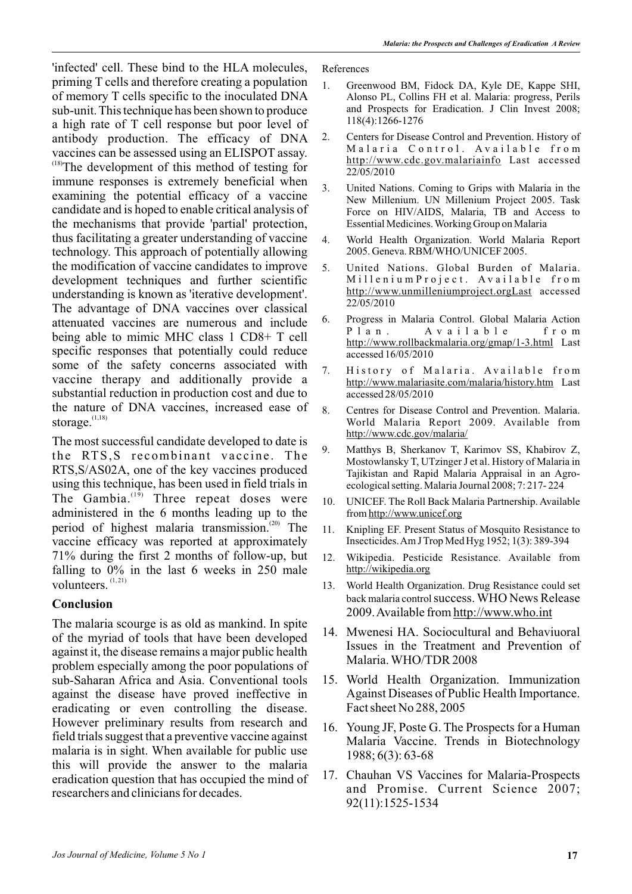'infected' cell. These bind to the HLA molecules, priming T cells and therefore creating a population of memory T cells specific to the inoculated DNA sub-unit. This technique has been shown to produce a high rate of T cell response but poor level of antibody production. The efficacy of DNA vaccines can be assessed using an ELISPOT assay. (18)The development of this method of testing for immune responses is extremely beneficial when examining the potential efficacy of a vaccine candidate and is hoped to enable critical analysis of the mechanisms that provide 'partial' protection, thus facilitating a greater understanding of vaccine technology. This approach of potentially allowing the modification of vaccine candidates to improve development techniques and further scientific understanding is known as 'iterative development'. The advantage of DNA vaccines over classical attenuated vaccines are numerous and include being able to mimic MHC class 1 CD8+ T cell specific responses that potentially could reduce some of the safety concerns associated with vaccine therapy and additionally provide a substantial reduction in production cost and due to the nature of DNA vaccines, increased ease of storage.<sup>(1,18)</sup>

The most successful candidate developed to date is the RTS, S recombinant vaccine. The RTS,S/AS02A, one of the key vaccines produced using this technique, has been used in field trials in The Gambia.<sup>(19)</sup> Three repeat doses were administered in the 6 months leading up to the period of highest malaria transmission.<sup>(20)</sup> The vaccine efficacy was reported at approximately 71% during the first 2 months of follow-up, but falling to 0% in the last 6 weeks in 250 male volunteers.  $(1, 21)$ 

# **Conclusion**

The malaria scourge is as old as mankind. In spite of the myriad of tools that have been developed against it, the disease remains a major public health problem especially among the poor populations of sub-Saharan Africa and Asia. Conventional tools against the disease have proved ineffective in eradicating or even controlling the disease. However preliminary results from research and field trials suggest that a preventive vaccine against malaria is in sight. When available for public use this will provide the answer to the malaria eradication question that has occupied the mind of researchers and clinicians for decades.

References

- 1. Greenwood BM, Fidock DA, Kyle DE, Kappe SHI, Alonso PL, Collins FH et al. Malaria: progress, Perils and Prospects for Eradication. J Clin Invest 2008; 118(4):1266-1276
- 2. Centers for Disease Control and Prevention. History of Malaria Control. Available from http://www.cdc.gov.malariainfo Last accessed 22/05/2010
- 3. United Nations. Coming to Grips with Malaria in the New Millenium. UN Millenium Project 2005. Task Force on HIV/AIDS, Malaria, TB and Access to Essential Medicines. Working Group on Malaria
- 4. World Health Organization. World Malaria Report 2005. Geneva. RBM/WHO/UNICEF 2005.
- 5. United Nations. Global Burden of Malaria. Millenium Project. Available from http://www.unmilleniumproject.orgLast accessed 22/05/2010
- 6. Progress in Malaria Control. Global Malaria Action P l a n . A v a i l a b l e f r o m http://www.rollbackmalaria.org/gmap/1-3.html Last accessed 16/05/2010
- 7. History of Malaria. Available from http://www.malariasite.com/malaria/history.htm Last accessed 28/05/2010
- 8. Centres for Disease Control and Prevention. Malaria. World Malaria Report 2009. Available from http://www.cdc.gov/malaria/
- 9. Matthys B, Sherkanov T, Karimov SS, Khabirov Z, Mostowlansky T, UTzinger J et al. History of Malaria in Tajikistan and Rapid Malaria Appraisal in an Agroecological setting. Malaria Journal 2008; 7: 217- 224
- 10. UNICEF. The Roll Back Malaria Partnership. Available from http://www.unicef.org
- 11. Knipling EF. Present Status of Mosquito Resistance to Insecticides. Am J Trop Med Hyg 1952; 1(3): 389-394
- 12. Wikipedia. Pesticide Resistance. Available from http://wikipedia.org
- 13. World Health Organization. Drug Resistance could set back malaria control success. WHO News Release 2009. Available from http://www.who.int
- 14. Mwenesi HA. Sociocultural and Behaviuoral Issues in the Treatment and Prevention of Malaria. WHO/TDR 2008
- 15. World Health Organization. Immunization Against Diseases of Public Health Importance. Fact sheet No 288, 2005
- 16. Young JF, Poste G. The Prospects for a Human Malaria Vaccine. Trends in Biotechnology 1988; 6(3): 63-68
- 17. Chauhan VS Vaccines for Malaria-Prospects and Promise. Current Science 2007; 92(11):1525-1534